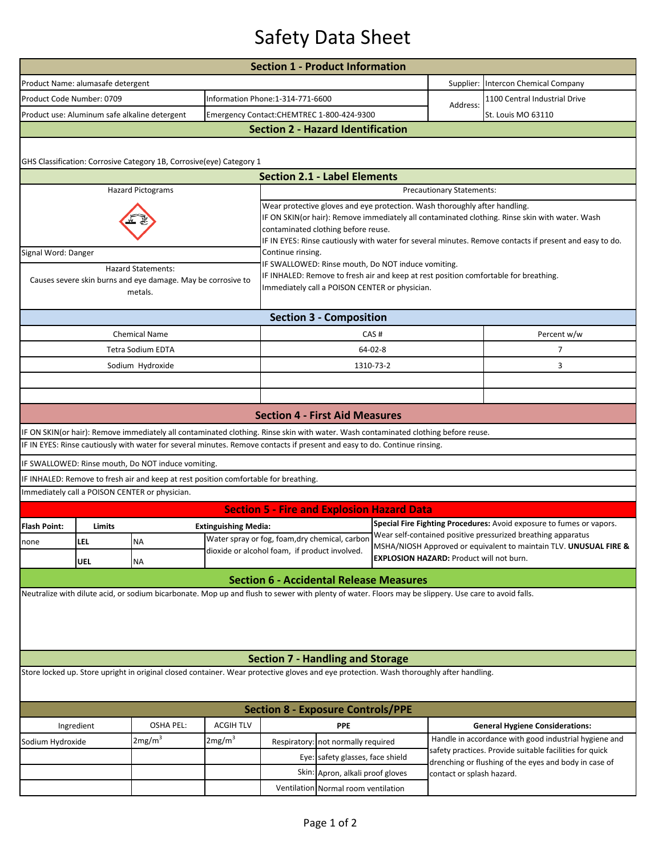## Safety Data Sheet

|                                                                                                                                         |            |                                                                                                                                                      |                             | <b>Section 1 - Product Information</b>                                                                                                                                                                                                                                                                                         |                                     |                                                 |                                                                                                                                      |                                                                                                                  |  |  |  |  |
|-----------------------------------------------------------------------------------------------------------------------------------------|------------|------------------------------------------------------------------------------------------------------------------------------------------------------|-----------------------------|--------------------------------------------------------------------------------------------------------------------------------------------------------------------------------------------------------------------------------------------------------------------------------------------------------------------------------|-------------------------------------|-------------------------------------------------|--------------------------------------------------------------------------------------------------------------------------------------|------------------------------------------------------------------------------------------------------------------|--|--|--|--|
| Product Name: alumasafe detergent                                                                                                       |            |                                                                                                                                                      |                             |                                                                                                                                                                                                                                                                                                                                |                                     |                                                 | Supplier:                                                                                                                            | Intercon Chemical Company                                                                                        |  |  |  |  |
| Product Code Number: 0709                                                                                                               |            |                                                                                                                                                      |                             | Information Phone:1-314-771-6600                                                                                                                                                                                                                                                                                               |                                     |                                                 |                                                                                                                                      | 1100 Central Industrial Drive                                                                                    |  |  |  |  |
|                                                                                                                                         |            | Product use: Aluminum safe alkaline detergent                                                                                                        |                             | Emergency Contact:CHEMTREC 1-800-424-9300                                                                                                                                                                                                                                                                                      |                                     |                                                 | Address:                                                                                                                             | St. Louis MO 63110                                                                                               |  |  |  |  |
| <b>Section 2 - Hazard Identification</b>                                                                                                |            |                                                                                                                                                      |                             |                                                                                                                                                                                                                                                                                                                                |                                     |                                                 |                                                                                                                                      |                                                                                                                  |  |  |  |  |
| GHS Classification: Corrosive Category 1B, Corrosive(eye) Category 1                                                                    |            |                                                                                                                                                      |                             |                                                                                                                                                                                                                                                                                                                                |                                     |                                                 |                                                                                                                                      |                                                                                                                  |  |  |  |  |
|                                                                                                                                         |            |                                                                                                                                                      |                             | <b>Section 2.1 - Label Elements</b>                                                                                                                                                                                                                                                                                            |                                     |                                                 |                                                                                                                                      |                                                                                                                  |  |  |  |  |
| <b>Hazard Pictograms</b><br>Precautionary Statements:                                                                                   |            |                                                                                                                                                      |                             |                                                                                                                                                                                                                                                                                                                                |                                     |                                                 |                                                                                                                                      |                                                                                                                  |  |  |  |  |
|                                                                                                                                         |            |                                                                                                                                                      |                             | Wear protective gloves and eye protection. Wash thoroughly after handling.<br>IF ON SKIN(or hair): Remove immediately all contaminated clothing. Rinse skin with water. Wash<br>contaminated clothing before reuse.<br>IF IN EYES: Rinse cautiously with water for several minutes. Remove contacts if present and easy to do. |                                     |                                                 |                                                                                                                                      |                                                                                                                  |  |  |  |  |
| Signal Word: Danger                                                                                                                     |            |                                                                                                                                                      |                             | Continue rinsing.                                                                                                                                                                                                                                                                                                              |                                     |                                                 |                                                                                                                                      |                                                                                                                  |  |  |  |  |
| <b>Hazard Statements:</b><br>Causes severe skin burns and eye damage. May be corrosive to<br>metals.                                    |            |                                                                                                                                                      |                             | IF SWALLOWED: Rinse mouth, Do NOT induce vomiting.<br>IF INHALED: Remove to fresh air and keep at rest position comfortable for breathing.<br>Immediately call a POISON CENTER or physician.                                                                                                                                   |                                     |                                                 |                                                                                                                                      |                                                                                                                  |  |  |  |  |
| <b>Section 3 - Composition</b>                                                                                                          |            |                                                                                                                                                      |                             |                                                                                                                                                                                                                                                                                                                                |                                     |                                                 |                                                                                                                                      |                                                                                                                  |  |  |  |  |
|                                                                                                                                         |            | <b>Chemical Name</b>                                                                                                                                 |                             | CAS#                                                                                                                                                                                                                                                                                                                           |                                     |                                                 |                                                                                                                                      | Percent w/w                                                                                                      |  |  |  |  |
|                                                                                                                                         |            | <b>Tetra Sodium EDTA</b>                                                                                                                             |                             | 64-02-8                                                                                                                                                                                                                                                                                                                        |                                     |                                                 |                                                                                                                                      | $\overline{7}$                                                                                                   |  |  |  |  |
|                                                                                                                                         |            | Sodium Hydroxide                                                                                                                                     |                             |                                                                                                                                                                                                                                                                                                                                |                                     | 1310-73-2                                       |                                                                                                                                      | 3                                                                                                                |  |  |  |  |
|                                                                                                                                         |            |                                                                                                                                                      |                             |                                                                                                                                                                                                                                                                                                                                |                                     |                                                 |                                                                                                                                      |                                                                                                                  |  |  |  |  |
|                                                                                                                                         |            |                                                                                                                                                      |                             |                                                                                                                                                                                                                                                                                                                                |                                     |                                                 |                                                                                                                                      |                                                                                                                  |  |  |  |  |
|                                                                                                                                         |            |                                                                                                                                                      |                             | <b>Section 4 - First Aid Measures</b>                                                                                                                                                                                                                                                                                          |                                     |                                                 |                                                                                                                                      |                                                                                                                  |  |  |  |  |
|                                                                                                                                         |            | IF ON SKIN(or hair): Remove immediately all contaminated clothing. Rinse skin with water. Wash contaminated clothing before reuse.                   |                             |                                                                                                                                                                                                                                                                                                                                |                                     |                                                 |                                                                                                                                      |                                                                                                                  |  |  |  |  |
|                                                                                                                                         |            | IF IN EYES: Rinse cautiously with water for several minutes. Remove contacts if present and easy to do. Continue rinsing.                            |                             |                                                                                                                                                                                                                                                                                                                                |                                     |                                                 |                                                                                                                                      |                                                                                                                  |  |  |  |  |
|                                                                                                                                         |            | IF SWALLOWED: Rinse mouth, Do NOT induce vomiting.                                                                                                   |                             |                                                                                                                                                                                                                                                                                                                                |                                     |                                                 |                                                                                                                                      |                                                                                                                  |  |  |  |  |
|                                                                                                                                         |            | IF INHALED: Remove to fresh air and keep at rest position comfortable for breathing.                                                                 |                             |                                                                                                                                                                                                                                                                                                                                |                                     |                                                 |                                                                                                                                      |                                                                                                                  |  |  |  |  |
|                                                                                                                                         |            | Immediately call a POISON CENTER or physician.                                                                                                       |                             |                                                                                                                                                                                                                                                                                                                                |                                     |                                                 |                                                                                                                                      |                                                                                                                  |  |  |  |  |
|                                                                                                                                         |            |                                                                                                                                                      |                             | <b>Section 5 - Fire and Explosion Hazard Data</b>                                                                                                                                                                                                                                                                              |                                     |                                                 |                                                                                                                                      |                                                                                                                  |  |  |  |  |
| <b>Flash Point:</b>                                                                                                                     | Limits     |                                                                                                                                                      | <b>Extinguishing Media:</b> | Water spray or fog, foam, dry chemical, carbon                                                                                                                                                                                                                                                                                 |                                     |                                                 | Special Fire Fighting Procedures: Avoid exposure to fumes or vapors.<br>Wear self-contained positive pressurized breathing apparatus |                                                                                                                  |  |  |  |  |
| none                                                                                                                                    | LEL        | <b>NA</b>                                                                                                                                            |                             | dioxide or alcohol foam, if product involved.                                                                                                                                                                                                                                                                                  |                                     |                                                 | MSHA/NIOSH Approved or equivalent to maintain TLV. UNUSUAL FIRE &                                                                    |                                                                                                                  |  |  |  |  |
|                                                                                                                                         | <b>UEL</b> | <b>NA</b>                                                                                                                                            |                             |                                                                                                                                                                                                                                                                                                                                |                                     | <b>EXPLOSION HAZARD: Product will not burn.</b> |                                                                                                                                      |                                                                                                                  |  |  |  |  |
|                                                                                                                                         |            |                                                                                                                                                      |                             | <b>Section 6 - Accidental Release Measures</b>                                                                                                                                                                                                                                                                                 |                                     |                                                 |                                                                                                                                      |                                                                                                                  |  |  |  |  |
|                                                                                                                                         |            | Neutralize with dilute acid, or sodium bicarbonate. Mop up and flush to sewer with plenty of water. Floors may be slippery. Use care to avoid falls. |                             |                                                                                                                                                                                                                                                                                                                                |                                     |                                                 |                                                                                                                                      |                                                                                                                  |  |  |  |  |
|                                                                                                                                         |            |                                                                                                                                                      |                             |                                                                                                                                                                                                                                                                                                                                |                                     |                                                 |                                                                                                                                      |                                                                                                                  |  |  |  |  |
|                                                                                                                                         |            |                                                                                                                                                      |                             | <b>Section 7 - Handling and Storage</b>                                                                                                                                                                                                                                                                                        |                                     |                                                 |                                                                                                                                      |                                                                                                                  |  |  |  |  |
| Store locked up. Store upright in original closed container. Wear protective gloves and eye protection. Wash thoroughly after handling. |            |                                                                                                                                                      |                             |                                                                                                                                                                                                                                                                                                                                |                                     |                                                 |                                                                                                                                      |                                                                                                                  |  |  |  |  |
| <b>Section 8 - Exposure Controls/PPE</b>                                                                                                |            |                                                                                                                                                      |                             |                                                                                                                                                                                                                                                                                                                                |                                     |                                                 |                                                                                                                                      |                                                                                                                  |  |  |  |  |
| Ingredient                                                                                                                              |            | <b>OSHA PEL:</b>                                                                                                                                     | <b>ACGIH TLV</b>            | <b>PPE</b>                                                                                                                                                                                                                                                                                                                     |                                     |                                                 |                                                                                                                                      | <b>General Hygiene Considerations:</b>                                                                           |  |  |  |  |
| Sodium Hydroxide                                                                                                                        |            | 2mg/m <sup>3</sup>                                                                                                                                   | 2mg/m <sup>3</sup>          | Respiratory: not normally required<br>Eye: safety glasses, face shield<br>Skin: Apron, alkali proof gloves                                                                                                                                                                                                                     |                                     |                                                 | Handle in accordance with good industrial hygiene and                                                                                |                                                                                                                  |  |  |  |  |
|                                                                                                                                         |            |                                                                                                                                                      |                             |                                                                                                                                                                                                                                                                                                                                |                                     |                                                 |                                                                                                                                      | safety practices. Provide suitable facilities for quick<br>drenching or flushing of the eyes and body in case of |  |  |  |  |
|                                                                                                                                         |            |                                                                                                                                                      |                             |                                                                                                                                                                                                                                                                                                                                |                                     |                                                 | contact or splash hazard.                                                                                                            |                                                                                                                  |  |  |  |  |
|                                                                                                                                         |            |                                                                                                                                                      |                             |                                                                                                                                                                                                                                                                                                                                | Ventilation Normal room ventilation |                                                 |                                                                                                                                      |                                                                                                                  |  |  |  |  |